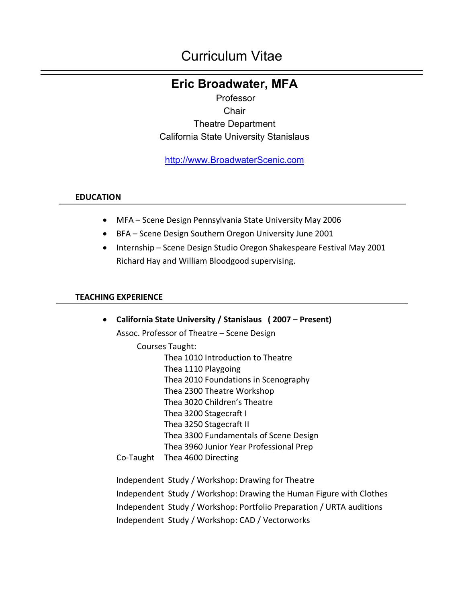# Curriculum Vitae

## **Eric Broadwater, MFA**

Professor **Chair** Theatre Department California State University Stanislaus

http://www.BroadwaterScenic.com

## **EDUCATION**

- MFA Scene Design Pennsylvania State University May 2006
- BFA Scene Design Southern Oregon University June 2001
- Internship Scene Design Studio Oregon Shakespeare Festival May 2001 Richard Hay and William Bloodgood supervising.

### **TEACHING EXPERIENCE**

| $\bullet$                                                                                                                | California State University / Stanislaus (2007 – Present)            |                                                 |
|--------------------------------------------------------------------------------------------------------------------------|----------------------------------------------------------------------|-------------------------------------------------|
|                                                                                                                          |                                                                      | Assoc. Professor of Theatre – Scene Design      |
|                                                                                                                          | Courses Taught:                                                      |                                                 |
|                                                                                                                          |                                                                      | Thea 1010 Introduction to Theatre               |
|                                                                                                                          |                                                                      | Thea 1110 Playgoing                             |
|                                                                                                                          |                                                                      | Thea 2010 Foundations in Scenography            |
|                                                                                                                          |                                                                      | Thea 2300 Theatre Workshop                      |
|                                                                                                                          |                                                                      | Thea 3020 Children's Theatre                    |
|                                                                                                                          |                                                                      | Thea 3200 Stagecraft I                          |
|                                                                                                                          |                                                                      | Thea 3250 Stagecraft II                         |
|                                                                                                                          |                                                                      | Thea 3300 Fundamentals of Scene Design          |
|                                                                                                                          |                                                                      | Thea 3960 Junior Year Professional Prep         |
|                                                                                                                          | Co-Taught                                                            | Thea 4600 Directing                             |
| Independent Study / Workshop: Drawing for Theatre<br>Independent Study / Workshop: Drawing the Human Figure with Clothes |                                                                      |                                                 |
|                                                                                                                          |                                                                      |                                                 |
|                                                                                                                          | Independent Study / Workshop: Portfolio Preparation / URTA auditions |                                                 |
|                                                                                                                          |                                                                      | Independent Study / Workshop: CAD / Vectorworks |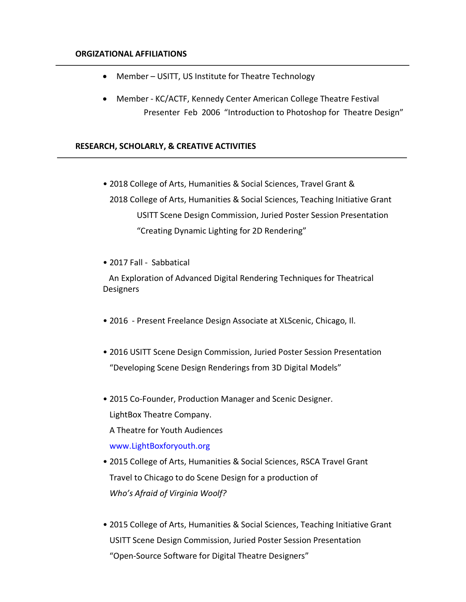### **ORGIZATIONAL AFFILIATIONS**

- Member USITT, US Institute for Theatre Technology
- Member KC/ACTF, Kennedy Center American College Theatre Festival Presenter Feb 2006 "Introduction to Photoshop for Theatre Design"

## **RESEARCH, SCHOLARLY, & CREATIVE ACTIVITIES**

- 2018 College of Arts, Humanities & Social Sciences, Travel Grant & 2018 College of Arts, Humanities & Social Sciences, Teaching Initiative Grant USITT Scene Design Commission, Juried Poster Session Presentation "Creating Dynamic Lighting for 2D Rendering"
- 2017 Fall Sabbatical

 An Exploration of Advanced Digital Rendering Techniques for Theatrical **Designers** 

- 2016 Present Freelance Design Associate at XLScenic, Chicago, Il.
- 2016 USITT Scene Design Commission, Juried Poster Session Presentation "Developing Scene Design Renderings from 3D Digital Models"
- 2015 Co-Founder, Production Manager and Scenic Designer. LightBox Theatre Company. A Theatre for Youth Audiences www.LightBoxforyouth.org
- 2015 College of Arts, Humanities & Social Sciences, RSCA Travel Grant Travel to Chicago to do Scene Design for a production of *Who's Afraid of Virginia Woolf?*
- 2015 College of Arts, Humanities & Social Sciences, Teaching Initiative Grant USITT Scene Design Commission, Juried Poster Session Presentation "Open-Source Software for Digital Theatre Designers"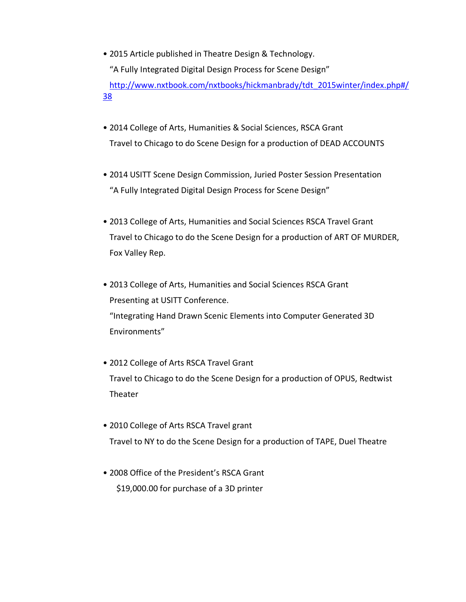• 2015 Article published in Theatre Design & Technology.

"A Fully Integrated Digital Design Process for Scene Design"

http://www.nxtbook.com/nxtbooks/hickmanbrady/tdt\_2015winter/index.php#/ 38

- 2014 College of Arts, Humanities & Social Sciences, RSCA Grant Travel to Chicago to do Scene Design for a production of DEAD ACCOUNTS
- 2014 USITT Scene Design Commission, Juried Poster Session Presentation "A Fully Integrated Digital Design Process for Scene Design"
- 2013 College of Arts, Humanities and Social Sciences RSCA Travel Grant Travel to Chicago to do the Scene Design for a production of ART OF MURDER, Fox Valley Rep.
- 2013 College of Arts, Humanities and Social Sciences RSCA Grant Presenting at USITT Conference. "Integrating Hand Drawn Scenic Elements into Computer Generated 3D Environments"
- 2012 College of Arts RSCA Travel Grant Travel to Chicago to do the Scene Design for a production of OPUS, Redtwist Theater
- 2010 College of Arts RSCA Travel grant Travel to NY to do the Scene Design for a production of TAPE, Duel Theatre
- 2008 Office of the President's RSCA Grant \$19,000.00 for purchase of a 3D printer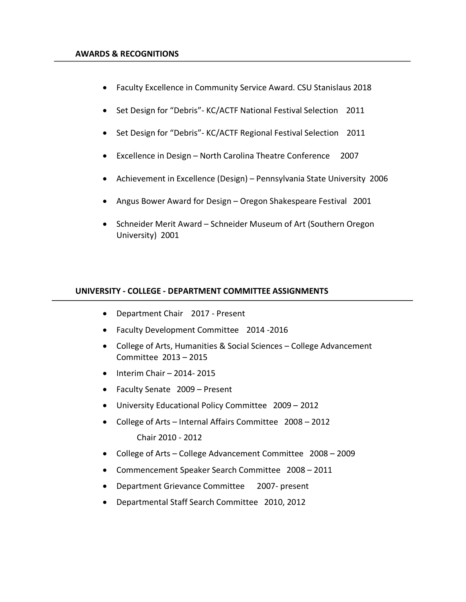- Faculty Excellence in Community Service Award. CSU Stanislaus 2018
- Set Design for "Debris"- KC/ACTF National Festival Selection 2011
- Set Design for "Debris"- KC/ACTF Regional Festival Selection 2011
- Excellence in Design North Carolina Theatre Conference 2007
- Achievement in Excellence (Design) Pennsylvania State University 2006
- Angus Bower Award for Design Oregon Shakespeare Festival 2001
- Schneider Merit Award Schneider Museum of Art (Southern Oregon University) 2001

## **UNIVERSITY - COLLEGE - DEPARTMENT COMMITTEE ASSIGNMENTS**

- Department Chair 2017 Present
- Faculty Development Committee 2014 -2016
- College of Arts, Humanities & Social Sciences College Advancement Committee 2013 – 2015
- Interim Chair 2014- 2015
- Faculty Senate 2009 Present
- University Educational Policy Committee 2009 2012
- College of Arts Internal Affairs Committee 2008 2012 Chair 2010 - 2012
- College of Arts College Advancement Committee 2008 2009
- Commencement Speaker Search Committee 2008 2011
- Department Grievance Committee 2007- present
- Departmental Staff Search Committee 2010, 2012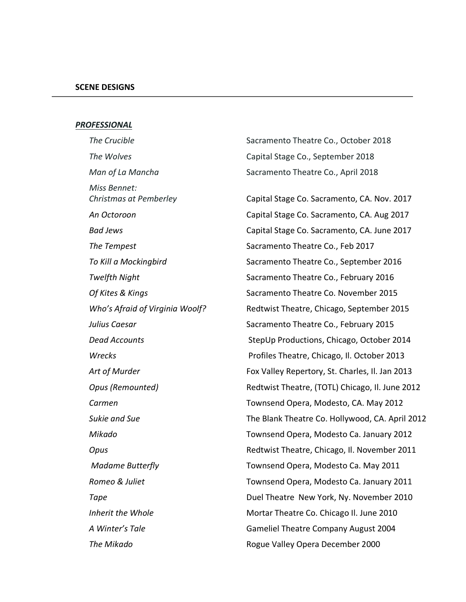#### *PROFESSIONAL*

*Miss Bennet:* 

*The Crucible* Sacramento Theatre Co., October 2018 *The Wolves* Capital Stage Co., September 2018 *Man of La Mancha* Sacramento Theatre Co., April 2018

*Christmas at Pemberley* Capital Stage Co. Sacramento, CA. Nov. 2017 *An Octoroon* Capital Stage Co. Sacramento, CA. Aug 2017 *Bad Jews* Capital Stage Co. Sacramento, CA. June 2017 **The Tempest** Sacramento Theatre Co., Feb 2017 *To Kill a Mockingbird* Sacramento Theatre Co., September 2016 **Twelfth Night**  Sacramento Theatre Co., February 2016 *Of Kites & Kings* Sacramento Theatre Co. November 2015 *Who's Afraid of Virginia Woolf?* Redtwist Theatre, Chicago, September 2015 *Julius Caesar* **Sacramento Theatre Co., February 2015** Sacramento Theatre Co., February 2015 **Dead Accounts** The StepUp Productions, Chicago, October 2014 **Wrecks Profiles Theatre, Chicago, II. October 2013** Art of Murder **Fox Valley Repertory, St. Charles, Il. Jan 2013** *Opus (Remounted)* Redtwist Theatre, (TOTL) Chicago, Il. June 2012 *Carmen* Townsend Opera, Modesto, CA. May 2012 *Sukie and Sue* The Blank Theatre Co. Hollywood, CA. April 2012 *Mikado* Townsend Opera, Modesto Ca. January 2012 *Opus* Redtwist Theatre, Chicago, Il. November 2011 *Madame Butterfly* Townsend Opera, Modesto Ca. May 2011 *Romeo & Juliet* Townsend Opera, Modesto Ca. January 2011 **Tape** Tape **Duel Theatre New York, Ny. November 2010** *Inherit the Whole* Mortar Theatre Co. Chicago II. June 2010 *A Winter's Tale* Gameliel Theatre Company August 2004 *The Mikado* Rogue Valley Opera December 2000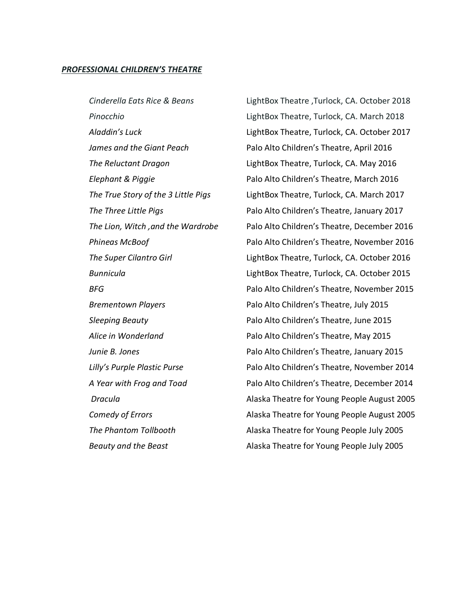#### *PROFESSIONAL CHILDREN'S THEATRE*

*Cinderella Eats Rice & Beans* LightBox Theatre ,Turlock, CA. October 2018 *Pinocchio* LightBox Theatre, Turlock, CA. March 2018 *Aladdin's Luck* LightBox Theatre, Turlock, CA. October 2017 *James and the Giant Peach* Palo Alto Children's Theatre, April 2016 *The Reluctant Dragon* LightBox Theatre, Turlock, CA. May 2016 *Elephant & Piggie* Palo Alto Children's Theatre, March 2016 *The True Story of the 3 Little Pigs* LightBox Theatre, Turlock, CA. March 2017 *The Three Little Pigs* Palo Alto Children's Theatre, January 2017 *The Lion, Witch ,and the Wardrobe* Palo Alto Children's Theatre, December 2016 Phineas McBoof **Phineas McBoof** Palo Alto Children's Theatre, November 2016 *The Super Cilantro Girl* LightBox Theatre, Turlock, CA. October 2016 *Bunnicula* LightBox Theatre, Turlock, CA. October 2015 **BFG** Palo Alto Children's Theatre, November 2015 *Brementown Players* Palo Alto Children's Theatre, July 2015 *Sleeping Beauty* Palo Alto Children's Theatre, June 2015 *Alice in Wonderland* Palo Alto Children's Theatre, May 2015 *Junie B. Jones* **Palo Alto Children's Theatre, January 2015** *Lilly's Purple Plastic Purse* Palo Alto Children's Theatre, November 2014 *A Year with Frog and Toad* Palo Alto Children's Theatre, December 2014 *Dracula* **Alaska Theatre for Young People August 2005 Comedy of Errors Comedy of Errors Alaska Theatre for Young People August 2005** *The Phantom Tollbooth* Alaska Theatre for Young People July 2005 *Beauty and the Beast* Alaska Theatre for Young People July 2005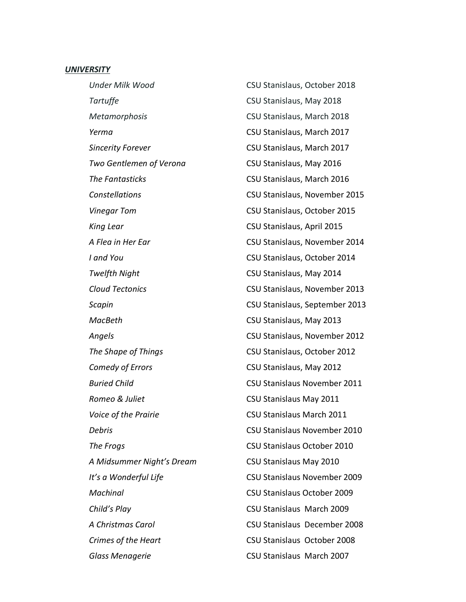#### *UNIVERSITY*

*Under Milk Wood* CSU Stanislaus, October 2018 *Tartuffe* CSU Stanislaus, May 2018 *Metamorphosis* CSU Stanislaus, March 2018 *Yerma* CSU Stanislaus, March 2017 *Sincerity Forever* CSU Stanislaus, March 2017 *Two Gentlemen of Verona* CSU Stanislaus, May 2016 *The Fantasticks* CSU Stanislaus, March 2016 *Constellations* CSU Stanislaus, November 2015 *Vinegar Tom* CSU Stanislaus, October 2015 **King Lear CSU Stanislaus, April 2015** *A Flea in Her Ear* CSU Stanislaus, November 2014 *I and You* CSU Stanislaus, October 2014 *Twelfth Night* CSU Stanislaus, May 2014 *Cloud Tectonics* CSU Stanislaus, November 2013 *Scapin* CSU Stanislaus, September 2013 *MacBeth* CSU Stanislaus, May 2013 *Angels* CSU Stanislaus, November 2012 **The Shape of Things** CSU Stanislaus, October 2012 **Comedy of Errors** CSU Stanislaus, May 2012 **Buried Child** CSU Stanislaus November 2011 *Romeo & Juliet* CSU Stanislaus May 2011 *Voice of the Prairie* CSU Stanislaus March 2011 *Debris* CSU Stanislaus November 2010 *The Frogs* CSU Stanislaus October 2010 *A Midsummer Night's Dream* CSU Stanislaus May 2010 *It's a Wonderful Life* CSU Stanislaus November 2009 *Machinal* CSU Stanislaus October 2009 *Child's Play* CSU Stanislaus March 2009 *A Christmas Carol* CSU Stanislaus December 2008 *Crimes of the Heart* CSU Stanislaus October 2008 *Glass Menagerie* CSU Stanislaus March 2007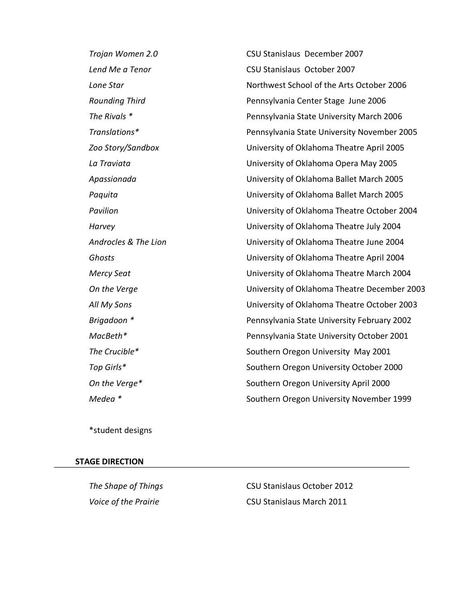| Trojan Women 2.0      | CSU Stanislaus December 2007                 |
|-----------------------|----------------------------------------------|
| Lend Me a Tenor       | CSU Stanislaus October 2007                  |
| Lone Star             | Northwest School of the Arts October 2006    |
| <b>Rounding Third</b> | Pennsylvania Center Stage June 2006          |
| The Rivals *          | Pennsylvania State University March 2006     |
| Translations*         | Pennsylvania State University November 2005  |
| Zoo Story/Sandbox     | University of Oklahoma Theatre April 2005    |
| La Traviata           | University of Oklahoma Opera May 2005        |
| Apassionada           | University of Oklahoma Ballet March 2005     |
| Paquita               | University of Oklahoma Ballet March 2005     |
| Pavilion              | University of Oklahoma Theatre October 2004  |
| Harvey                | University of Oklahoma Theatre July 2004     |
| Androcles & The Lion  | University of Oklahoma Theatre June 2004     |
| Ghosts                | University of Oklahoma Theatre April 2004    |
| <b>Mercy Seat</b>     | University of Oklahoma Theatre March 2004    |
| On the Verge          | University of Oklahoma Theatre December 2003 |
| All My Sons           | University of Oklahoma Theatre October 2003  |
| Brigadoon *           | Pennsylvania State University February 2002  |
| MacBeth*              | Pennsylvania State University October 2001   |
| The Crucible*         | Southern Oregon University May 2001          |
| Top Girls*            | Southern Oregon University October 2000      |
| On the Verge*         | Southern Oregon University April 2000        |
| Medea *               | Southern Oregon University November 1999     |

\*student designs

## **STAGE DIRECTION**

*The Shape of Things* CSU Stanislaus October 2012 *Voice of the Prairie* **CSU Stanislaus March 2011**